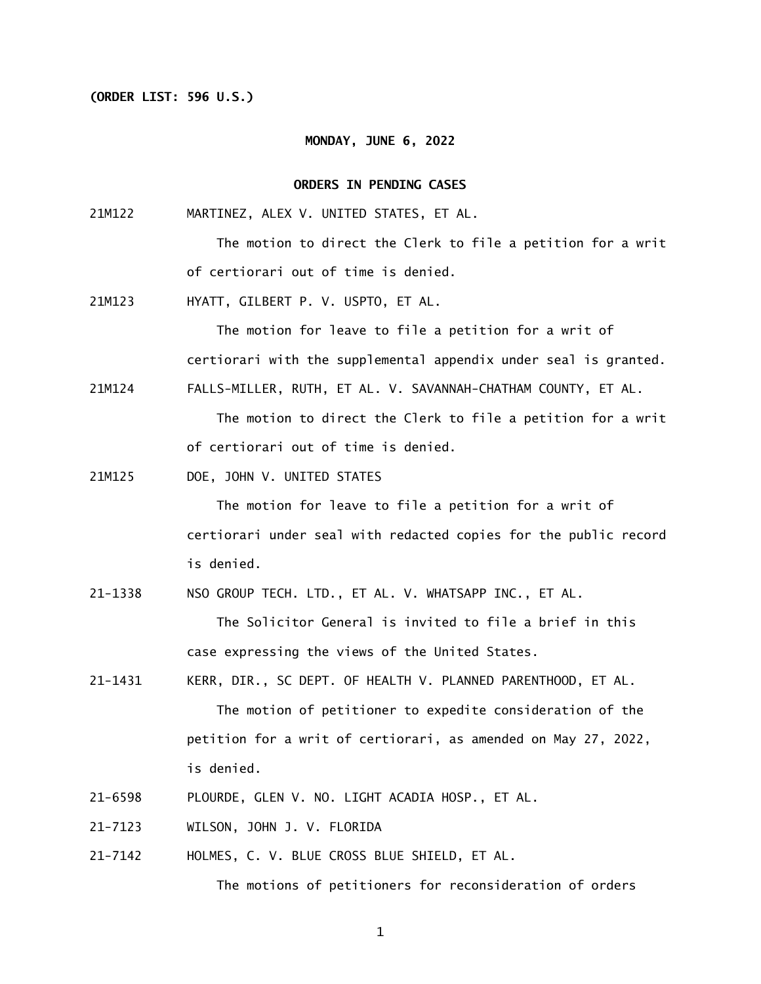#### **(ORDER LIST: 596 U.S.)**

#### **MONDAY, JUNE 6, 2022**

#### **ORDERS IN PENDING CASES**

21M122 MARTINEZ, ALEX V. UNITED STATES, ET AL.

> The motion to direct the Clerk to file a petition for a writ of certiorari out of time is denied.

21M123 HYATT, GILBERT P. V. USPTO, ET AL.

> The motion for leave to file a petition for a writ of certiorari with the supplemental appendix under seal is granted.

21M124 FALLS-MILLER, RUTH, ET AL. V. SAVANNAH-CHATHAM COUNTY, ET AL.

> The motion to direct the Clerk to file a petition for a writ of certiorari out of time is denied.

21M125 DOE, JOHN V. UNITED STATES

> The motion for leave to file a petition for a writ of certiorari under seal with redacted copies for the public record is denied.

21-1338 NSO GROUP TECH. LTD., ET AL. V. WHATSAPP INC., ET AL.

 The Solicitor General is invited to file a brief in this case expressing the views of the United States.

- 21-1431 KERR, DIR., SC DEPT. OF HEALTH V. PLANNED PARENTHOOD, ET AL. The motion of petitioner to expedite consideration of the petition for a writ of certiorari, as amended on May 27, 2022, is denied.
- 21-6598 PLOURDE, GLEN V. NO. LIGHT ACADIA HOSP., ET AL.
- 21-7123 WILSON, JOHN J. V. FLORIDA
- 21-7142 HOLMES, C. V. BLUE CROSS BLUE SHIELD, ET AL. The motions of petitioners for reconsideration of orders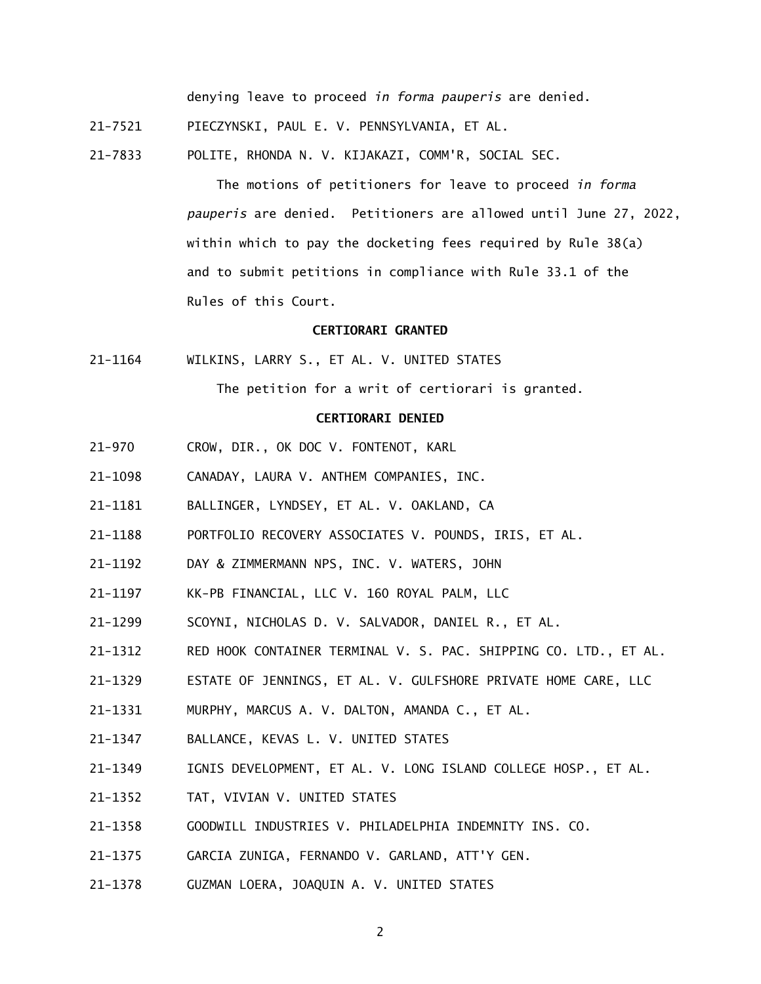denying leave to proceed *in forma pauperis* are denied.

21-7521 PIECZYNSKI, PAUL E. V. PENNSYLVANIA, ET AL.

21-7833 POLITE, RHONDA N. V. KIJAKAZI, COMM'R, SOCIAL SEC.

 The motions of petitioners for leave to proceed *in forma pauperis* are denied. Petitioners are allowed until June 27, 2022, within which to pay the docketing fees required by Rule 38(a) and to submit petitions in compliance with Rule 33.1 of the Rules of this Court.

## **CERTIORARI GRANTED**

21-1164 WILKINS, LARRY S., ET AL. V. UNITED STATES

The petition for a writ of certiorari is granted.

## **CERTIORARI DENIED**

- $21 970$ CROW, DIR., OK DOC V. FONTENOT, KARL
- 21-1098 CANADAY, LAURA V. ANTHEM COMPANIES, INC.
- 21-1181 BALLINGER, LYNDSEY, ET AL. V. OAKLAND, CA
- 21-1188 PORTFOLIO RECOVERY ASSOCIATES V. POUNDS, IRIS, ET AL.
- 21-1192 DAY & ZIMMERMANN NPS, INC. V. WATERS, JOHN
- 21-1197 KK-PB FINANCIAL, LLC V. 160 ROYAL PALM, LLC
- 21-1299 SCOYNI, NICHOLAS D. V. SALVADOR, DANIEL R., ET AL.
- 21-1312 RED HOOK CONTAINER TERMINAL V. S. PAC. SHIPPING CO. LTD., ET AL.
- 21-1329 ESTATE OF JENNINGS, ET AL. V. GULFSHORE PRIVATE HOME CARE, LLC
- 21-1331 MURPHY, MARCUS A. V. DALTON, AMANDA C., ET AL.
- 21-1347 BALLANCE, KEVAS L. V. UNITED STATES
- 21-1349 IGNIS DEVELOPMENT, ET AL. V. LONG ISLAND COLLEGE HOSP., ET AL.
- 21-1352 TAT, VIVIAN V. UNITED STATES
- 21-1358 GOODWILL INDUSTRIES V. PHILADELPHIA INDEMNITY INS. CO.
- 21-1375 GARCIA ZUNIGA, FERNANDO V. GARLAND, ATT'Y GEN.
- 21-1378 GUZMAN LOERA, JOAQUIN A. V. UNITED STATES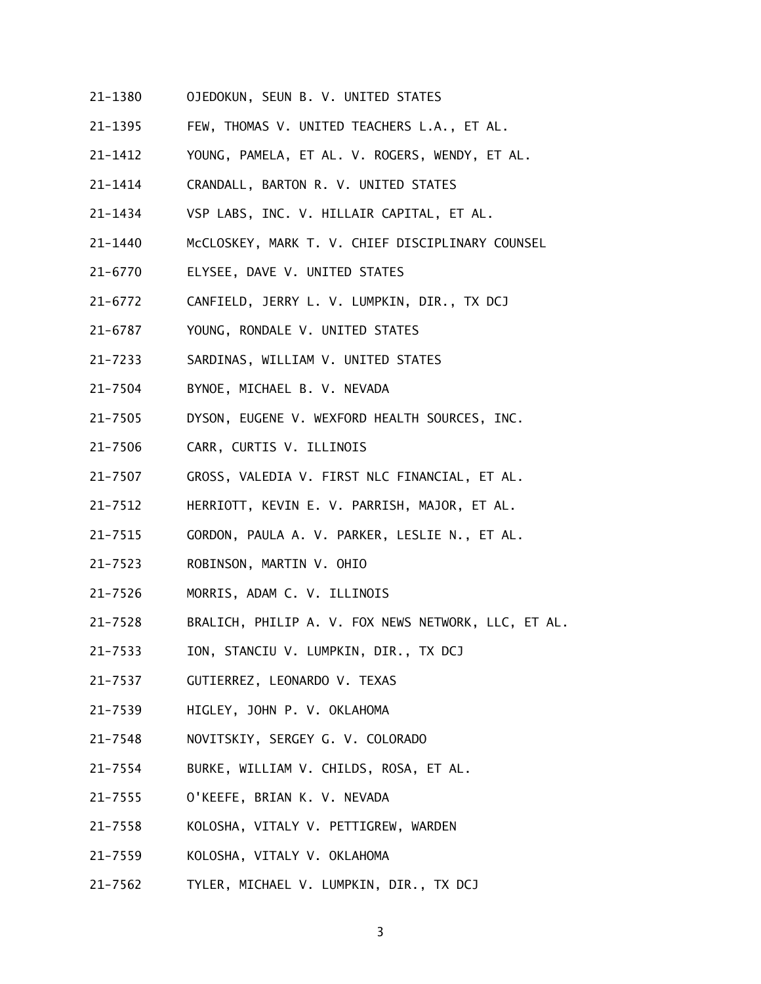- 21-1380 OJEDOKUN, SEUN B. V. UNITED STATES
- 21-1395 FEW, THOMAS V. UNITED TEACHERS L.A., ET AL.
- 21-1412 YOUNG, PAMELA, ET AL. V. ROGERS, WENDY, ET AL.
- 21-1414 CRANDALL, BARTON R. V. UNITED STATES
- 21-1434 VSP LABS, INC. V. HILLAIR CAPITAL, ET AL.
- 21-1440 McCLOSKEY, MARK T. V. CHIEF DISCIPLINARY COUNSEL
- 21-6770 ELYSEE, DAVE V. UNITED STATES
- 21-6772 CANFIELD, JERRY L. V. LUMPKIN, DIR., TX DCJ
- 21-6787 YOUNG, RONDALE V. UNITED STATES
- 21-7233 SARDINAS, WILLIAM V. UNITED STATES
- 21-7504 BYNOE, MICHAEL B. V. NEVADA
- 21-7505 DYSON, EUGENE V. WEXFORD HEALTH SOURCES, INC.
- 21-7506 CARR, CURTIS V. ILLINOIS
- 21-7507 GROSS, VALEDIA V. FIRST NLC FINANCIAL, ET AL.
- 21-7512 HERRIOTT, KEVIN E. V. PARRISH, MAJOR, ET AL.
- 21-7515 GORDON, PAULA A. V. PARKER, LESLIE N., ET AL.
- 21-7523 ROBINSON, MARTIN V. OHIO
- 21-7526 MORRIS, ADAM C. V. ILLINOIS
- 21-7528 BRALICH, PHILIP A. V. FOX NEWS NETWORK, LLC, ET AL.
- 21-7533 ION, STANCIU V. LUMPKIN, DIR., TX DCJ
- 21-7537 GUTIERREZ, LEONARDO V. TEXAS
- 21-7539 HIGLEY, JOHN P. V. OKLAHOMA
- 21-7548 NOVITSKIY, SERGEY G. V. COLORADO
- 21-7554 BURKE, WILLIAM V. CHILDS, ROSA, ET AL.
- 21-7555 O'KEEFE, BRIAN K. V. NEVADA
- 21-7558 KOLOSHA, VITALY V. PETTIGREW, WARDEN
- 21-7559 KOLOSHA, VITALY V. OKLAHOMA
- 21-7562 21-7562 TYLER, MICHAEL V. LUMPKIN, DIR., TX DCJ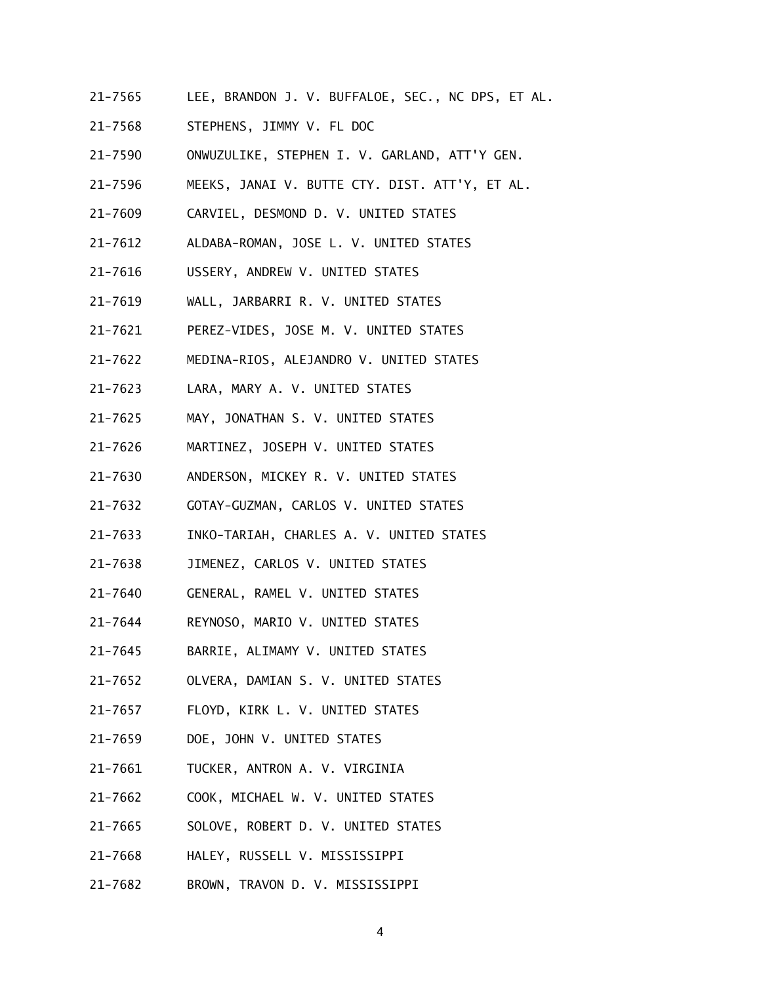- 21-7565 LEE, BRANDON J. V. BUFFALOE, SEC., NC DPS, ET AL.
- 21-7568 STEPHENS, JIMMY V. FL DOC
- 21-7590 ONWUZULIKE, STEPHEN I. V. GARLAND, ATT'Y GEN.
- 21-7596 MEEKS, JANAI V. BUTTE CTY. DIST. ATT'Y, ET AL.
- 21-7609 CARVIEL, DESMOND D. V. UNITED STATES
- 21-7612 ALDABA-ROMAN, JOSE L. V. UNITED STATES
- 21-7616 USSERY, ANDREW V. UNITED STATES
- 21-7619 WALL, JARBARRI R. V. UNITED STATES
- 21-7621 PEREZ-VIDES, JOSE M. V. UNITED STATES
- 21-7622 21-7622 MEDINA-RIOS, ALEJANDRO V. UNITED STATES
- 21-7623 LARA, MARY A. V. UNITED STATES
- 21-7625 MAY, JONATHAN S. V. UNITED STATES
- 21-7626 MARTINEZ, JOSEPH V. UNITED STATES
- 21-7630 ANDERSON, MICKEY R. V. UNITED STATES
- $21 7632$ 21-7632 GOTAY-GUZMAN, CARLOS V. UNITED STATES
- 21-7633 INKO-TARIAH, CHARLES A. V. UNITED STATES
- 21-7638 JIMENEZ, CARLOS V. UNITED STATES
- 21-7640 GENERAL, RAMEL V. UNITED STATES
- 21-7644 REYNOSO, MARIO V. UNITED STATES
- 21-7645 BARRIE, ALIMAMY V. UNITED STATES
- 21-7652 OLVERA, DAMIAN S. V. UNITED STATES
- 21-7657 FLOYD, KIRK L. V. UNITED STATES
- 21-7659 DOE, JOHN V. UNITED STATES
- 21-7661 TUCKER, ANTRON A. V. VIRGINIA
- 21-7662 COOK, MICHAEL W. V. UNITED STATES
- 21-7665 SOLOVE, ROBERT D. V. UNITED STATES
- 21-7668 HALEY, RUSSELL V. MISSISSIPPI
- 21-7682 BROWN, TRAVON D. V. MISSISSIPPI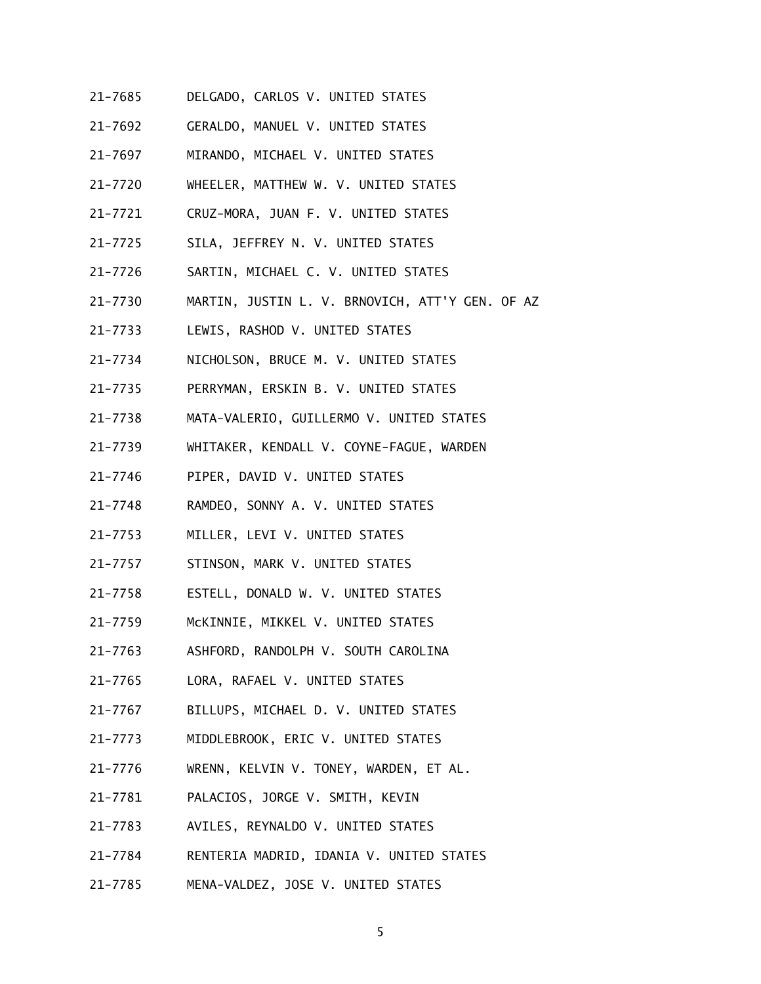- 21-7685 DELGADO, CARLOS V. UNITED STATES
- 21-7692 GERALDO, MANUEL V. UNITED STATES
- 21-7697 MIRANDO, MICHAEL V. UNITED STATES
- 21-7720 WHEELER, MATTHEW W. V. UNITED STATES
- 21-7721 CRUZ-MORA, JUAN F. V. UNITED STATES
- 21-7725 SILA, JEFFREY N. V. UNITED STATES
- 21-7726 SARTIN, MICHAEL C. V. UNITED STATES
- 21-7730 MARTIN, JUSTIN L. V. BRNOVICH, ATT'Y GEN. OF AZ
- $21 7733$ LEWIS, RASHOD V. UNITED STATES
- 21-7734 NICHOLSON, BRUCE M. V. UNITED STATES
- 21-7735 PERRYMAN, ERSKIN B. V. UNITED STATES
- 21-7738 MATA-VALERIO, GUILLERMO V. UNITED STATES
- 21-7739 WHITAKER, KENDALL V. COYNE-FAGUE, WARDEN
- 21-7746 PIPER, DAVID V. UNITED STATES
- $21 7748$ RAMDEO, SONNY A. V. UNITED STATES
- 21-7753 MILLER, LEVI V. UNITED STATES
- 21-7757 STINSON, MARK V. UNITED STATES
- 21-7758 ESTELL, DONALD W. V. UNITED STATES
- 21-7759 McKINNIE, MIKKEL V. UNITED STATES
- 21-7763 ASHFORD, RANDOLPH V. SOUTH CAROLINA
- 21-7765 LORA, RAFAEL V. UNITED STATES
- 21-7767 BILLUPS, MICHAEL D. V. UNITED STATES
- 21-7773 MIDDLEBROOK, ERIC V. UNITED STATES
- 21-7776 WRENN, KELVIN V. TONEY, WARDEN, ET AL.
- 21-7781 PALACIOS, JORGE V. SMITH, KEVIN
- 21-7783 AVILES, REYNALDO V. UNITED STATES
- 21-7784 RENTERIA MADRID, IDANIA V. UNITED STATES
- 21-7785 21-7785 MENA-VALDEZ, JOSE V. UNITED STATES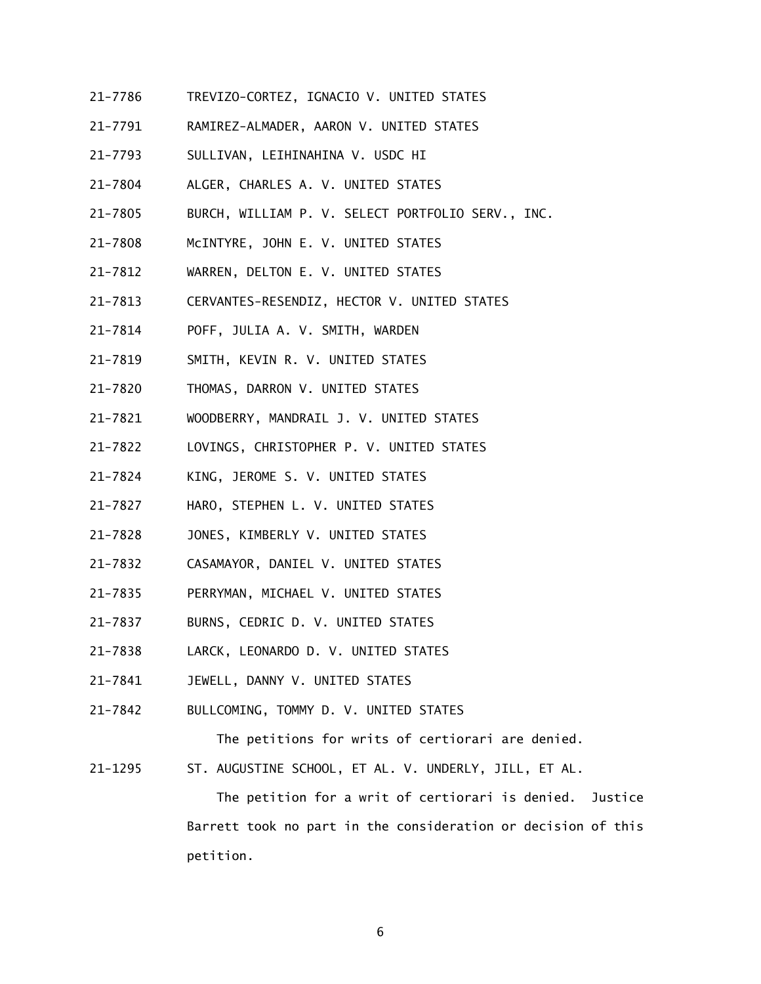- 21-7786 TREVIZO-CORTEZ, IGNACIO V. UNITED STATES
- 21-7791 RAMIREZ-ALMADER, AARON V. UNITED STATES
- 21-7793 SULLIVAN, LEIHINAHINA V. USDC HI
- 21-7804 ALGER, CHARLES A. V. UNITED STATES
- 21-7805 BURCH, WILLIAM P. V. SELECT PORTFOLIO SERV., INC.
- 21-7808 McINTYRE, JOHN E. V. UNITED STATES
- 21-7812 WARREN, DELTON E. V. UNITED STATES
- 21-7813 CERVANTES-RESENDIZ, HECTOR V. UNITED STATES
- 21-7814 POFF, JULIA A. V. SMITH, WARDEN
- 21-7819 SMITH, KEVIN R. V. UNITED STATES
- 21-7820 THOMAS, DARRON V. UNITED STATES
- 21-7821 WOODBERRY, MANDRAIL J. V. UNITED STATES
- 21-7822 LOVINGS, CHRISTOPHER P. V. UNITED STATES
- 21-7824 KING, JEROME S. V. UNITED STATES
- 21-7827 HARO, STEPHEN L. V. UNITED STATES
- 21-7828 JONES, KIMBERLY V. UNITED STATES
- 21-7832 CASAMAYOR, DANIEL V. UNITED STATES
- 21-7835 PERRYMAN, MICHAEL V. UNITED STATES
- $21 7837$ BURNS, CEDRIC D. V. UNITED STATES
- 21-7838 LARCK, LEONARDO D. V. UNITED STATES
- 21-7841 JEWELL, DANNY V. UNITED STATES
- 21-7842 BULLCOMING, TOMMY D. V. UNITED STATES

The petitions for writs of certiorari are denied.

21-1295 ST. AUGUSTINE SCHOOL, ET AL. V. UNDERLY, JILL, ET AL.

 The petition for a writ of certiorari is denied. Justice Barrett took no part in the consideration or decision of this petition.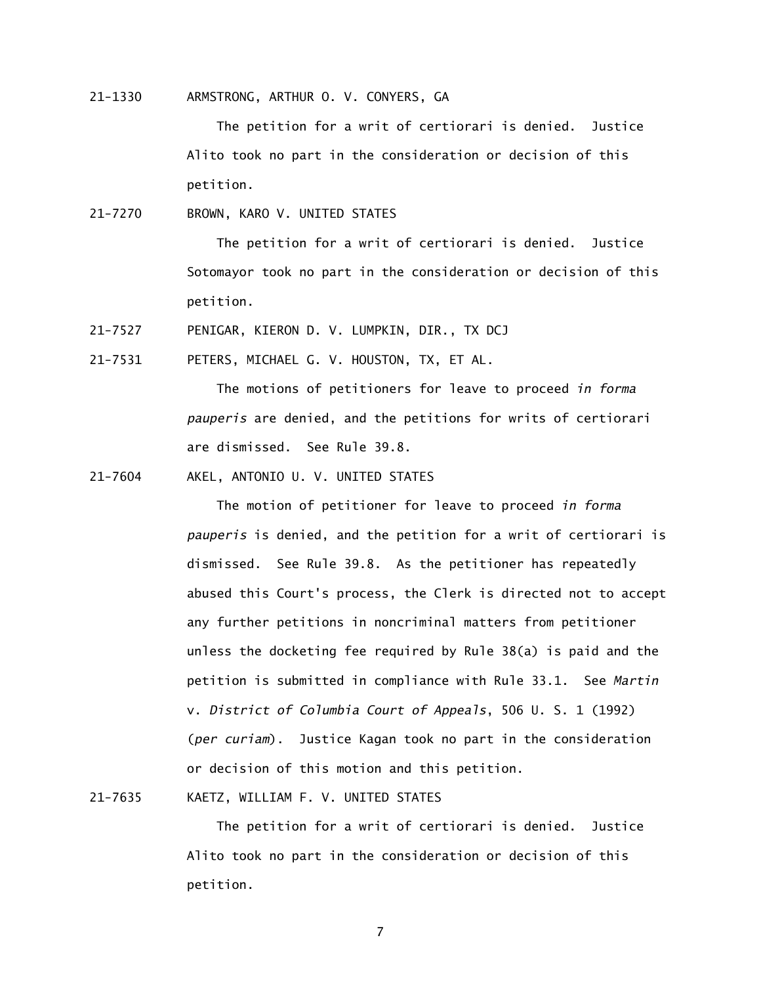21-1330 ARMSTRONG, ARTHUR O. V. CONYERS, GA

 The petition for a writ of certiorari is denied. Justice Alito took no part in the consideration or decision of this petition.

21-7270 BROWN, KARO V. UNITED STATES

 The petition for a writ of certiorari is denied. Justice Sotomayor took no part in the consideration or decision of this petition.

21-7527 PENIGAR, KIERON D. V. LUMPKIN, DIR., TX DCJ

21-7531 PETERS, MICHAEL G. V. HOUSTON, TX, ET AL.

 The motions of petitioners for leave to proceed *in forma pauperis* are denied, and the petitions for writs of certiorari are dismissed. See Rule 39.8.

21-7604 AKEL, ANTONIO U. V. UNITED STATES

 The motion of petitioner for leave to proceed *in forma pauperis* is denied, and the petition for a writ of certiorari is dismissed. See Rule 39.8. As the petitioner has repeatedly abused this Court's process, the Clerk is directed not to accept any further petitions in noncriminal matters from petitioner unless the docketing fee required by Rule 38(a) is paid and the petition is submitted in compliance with Rule 33.1. See *Martin*  v. *District of Columbia Court of Appeals*, 506 U. S. 1 (1992) (*per curiam*). Justice Kagan took no part in the consideration or decision of this motion and this petition.

21-7635 KAETZ, WILLIAM F. V. UNITED STATES

 The petition for a writ of certiorari is denied. Justice Alito took no part in the consideration or decision of this petition.